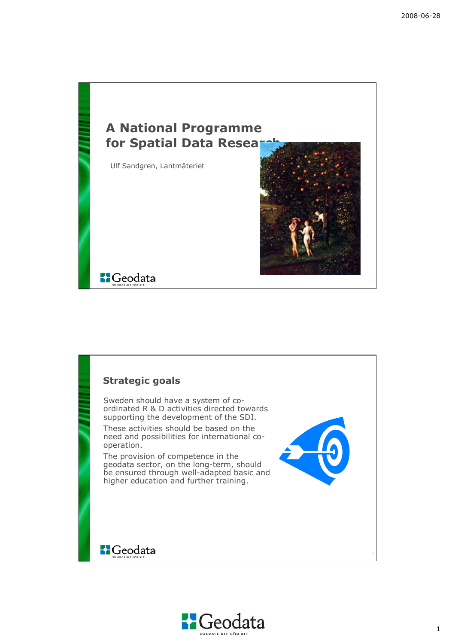

### **Strategic goals**

Sweden should have a system of coordinated R & D activities directed towards supporting the development of the SDI.

These activities should be based on the need and possibilities for international cooperation.

The provision of competence in the geodata sector, on the long-term, should be ensured through well-adapted basic and higher education and further training.



### **S**Geodata

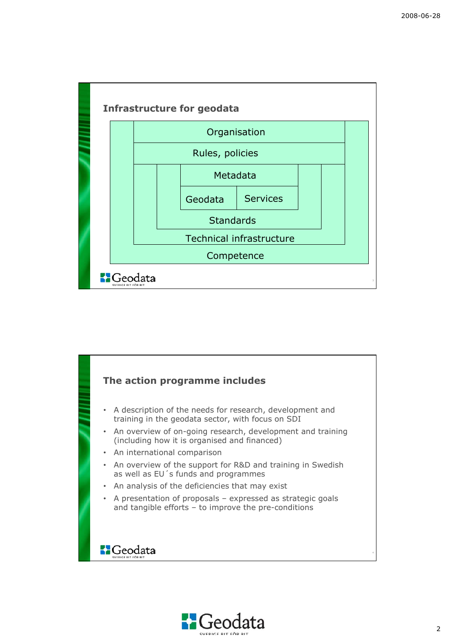



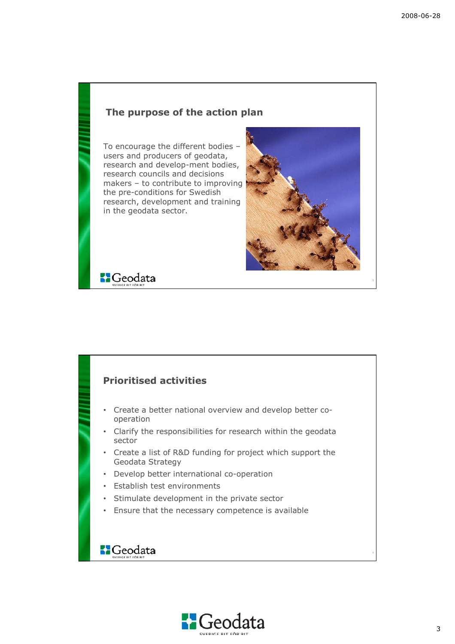#### **The purpose of the action plan**

To encourage the different bodies – users and producers of geodata, research and develop-ment bodies, research councils and decisions makers – to contribute to improving the pre-conditions for Swedish research, development and training in the geodata sector.



**B**Geodata

# **Prioritised activities**

- Create a better national overview and develop better cooperation
- Clarify the responsibilities for research within the geodata sector
- Create a list of R&D funding for project which support the Geodata Strategy
- Develop better international co-operation
- Establish test environments
- Stimulate development in the private sector
- Ensure that the necessary competence is available

# **B**Geodata